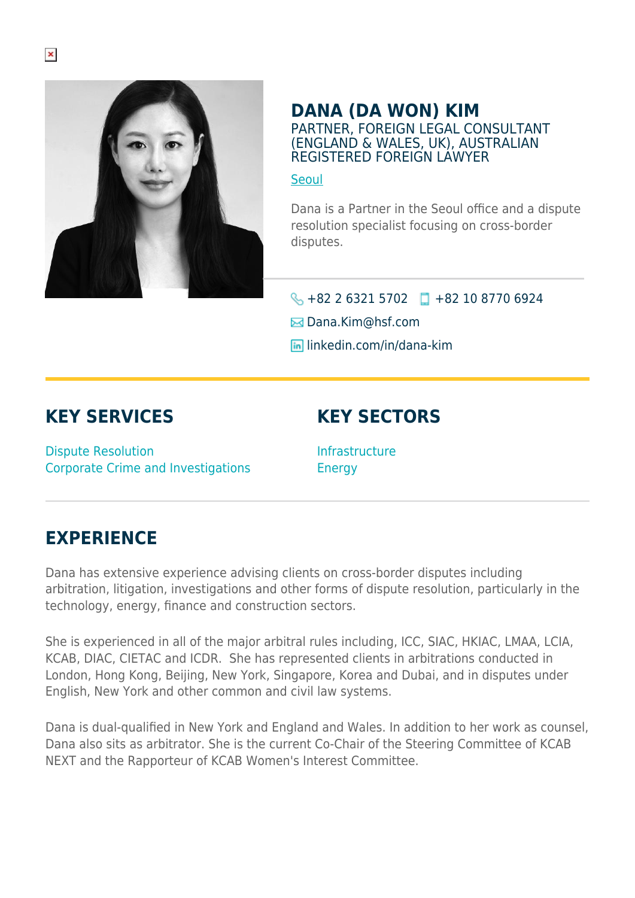

#### **DANA (DA WON) KIM** PARTNER, FOREIGN LEGAL CONSULTANT (ENGLAND & WALES, UK), AUSTRALIAN REGISTERED FOREIGN LAWYER

#### **[Seoul](https://www.herbertsmithfreehills.com/lang-ko/where-we-work/seoul)**

Dana is a Partner in the Seoul office and a dispute resolution specialist focusing on cross-border disputes.

#### $\bigotimes$  +82 2 6321 5702  $\Box$  +82 10 8770 6924

 $\boxtimes$  **Dana.Kim**@hsf.com

**lin** linkedin.com/in/dana-kim

### **KEY SERVICES**

Dispute Resolution Corporate Crime and Investigations

## **KEY SECTORS**

Infrastructure Energy

### **EXPERIENCE**

Dana has extensive experience advising clients on cross-border disputes including arbitration, litigation, investigations and other forms of dispute resolution, particularly in the technology, energy, finance and construction sectors.

She is experienced in all of the major arbitral rules including, ICC, SIAC, HKIAC, LMAA, LCIA, KCAB, DIAC, CIETAC and ICDR. She has represented clients in arbitrations conducted in London, Hong Kong, Beijing, New York, Singapore, Korea and Dubai, and in disputes under English, New York and other common and civil law systems.

Dana is dual-qualified in New York and England and Wales. In addition to her work as counsel, Dana also sits as arbitrator. She is the current Co-Chair of the Steering Committee of KCAB NEXT and the Rapporteur of KCAB Women's Interest Committee.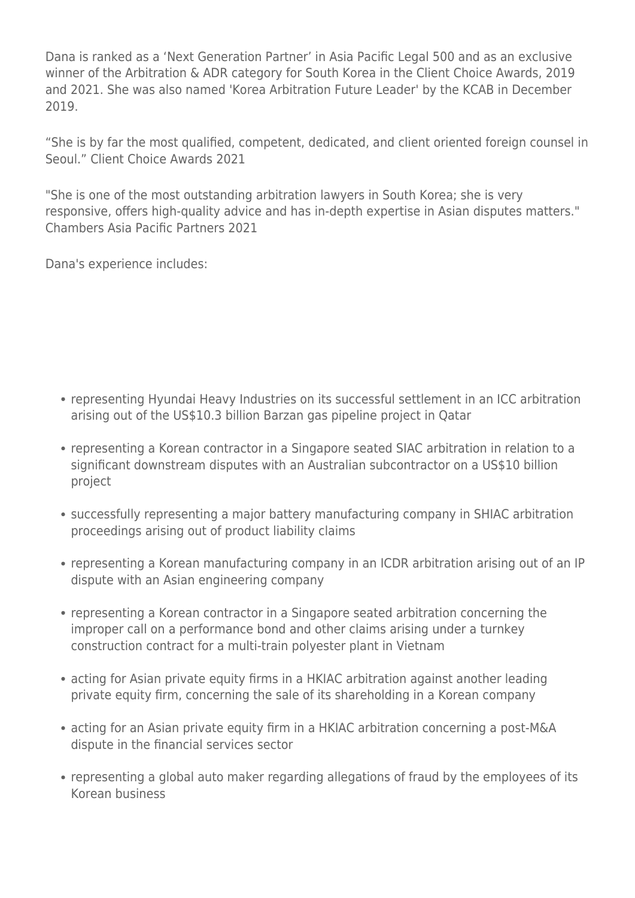Dana is ranked as a 'Next Generation Partner' in Asia Pacific Legal 500 and as an exclusive winner of the Arbitration & ADR category for South Korea in the Client Choice Awards, 2019 and 2021. She was also named 'Korea Arbitration Future Leader' by the KCAB in December 2019.

"She is by far the most qualified, competent, dedicated, and client oriented foreign counsel in Seoul." Client Choice Awards 2021

"She is one of the most outstanding arbitration lawyers in South Korea; she is very responsive, offers high-quality advice and has in-depth expertise in Asian disputes matters." Chambers Asia Pacific Partners 2021

Dana's experience includes:

- representing Hyundai Heavy Industries on its successful settlement in an ICC arbitration arising out of the US\$10.3 billion Barzan gas pipeline project in Qatar
- representing a Korean contractor in a Singapore seated SIAC arbitration in relation to a significant downstream disputes with an Australian subcontractor on a US\$10 billion project
- successfully representing a major battery manufacturing company in SHIAC arbitration proceedings arising out of product liability claims
- representing a Korean manufacturing company in an ICDR arbitration arising out of an IP dispute with an Asian engineering company
- representing a Korean contractor in a Singapore seated arbitration concerning the improper call on a performance bond and other claims arising under a turnkey construction contract for a multi-train polyester plant in Vietnam
- acting for Asian private equity firms in a HKIAC arbitration against another leading private equity firm, concerning the sale of its shareholding in a Korean company
- acting for an Asian private equity firm in a HKIAC arbitration concerning a post-M&A dispute in the financial services sector
- representing a global auto maker regarding allegations of fraud by the employees of its Korean business